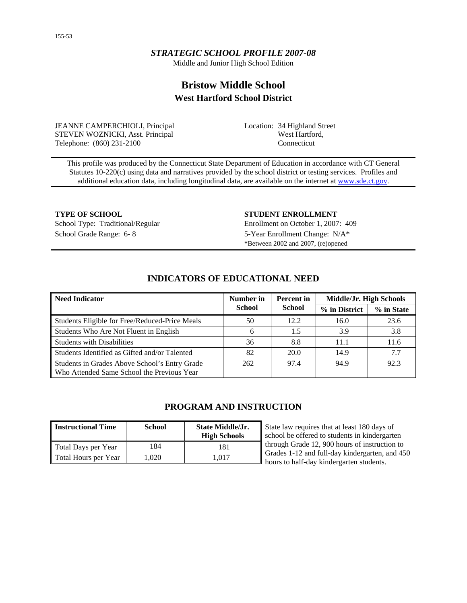### *STRATEGIC SCHOOL PROFILE 2007-08*

Middle and Junior High School Edition

# **Bristow Middle School West Hartford School District**

JEANNE CAMPERCHIOLI, Principal STEVEN WOZNICKI, Asst. Principal Telephone: (860) 231-2100

Location: 34 Highland Street West Hartford, Connecticut

This profile was produced by the Connecticut State Department of Education in accordance with CT General Statutes 10-220(c) using data and narratives provided by the school district or testing services. Profiles and additional education data, including longitudinal data, are available on the internet at [www.sde.ct.gov.](http://www.sde.ct.gov/)

#### **TYPE OF SCHOOL STUDENT ENROLLMENT**

School Type: Traditional/Regular Enrollment on October 1, 2007: 409 School Grade Range: 6- 8 5-Year Enrollment Change: N/A\* \*Between 2002 and 2007, (re)opened

### Number in Percent in Middle/Jr. High Schools **Number in Accord Accord 2016** Number in Accord Middle/Jr. High Schools **School Percent in School % in District % in State**  Students Eligible for Free/Reduced-Price Meals 50 12.2 16.0 23.6 Students Who Are Not Fluent in English  $\begin{array}{ccc} 6 & 1.5 & 3.9 & 3.8 \end{array}$ Students with Disabilities 11.6 11.6 Students Identified as Gifted and/or Talented 82 20.0 14.9 7.7 Students in Grades Above School's Entry Grade Who Attended Same School the Previous Year 262 97.4 94.9 92.3

# **INDICATORS OF EDUCATIONAL NEED**

# **PROGRAM AND INSTRUCTION**

| <b>Instructional Time</b> | <b>School</b> | <b>State Middle/Jr.</b><br><b>High Schools</b> | State law requires that at least 180 days of<br>school be offered to students in kindergarten |
|---------------------------|---------------|------------------------------------------------|-----------------------------------------------------------------------------------------------|
| Total Days per Year       | 184           | 181                                            | through Grade 12, 900 hours of instruction to                                                 |
| Total Hours per Year      | 1.020         | 1.017                                          | Grades 1-12 and full-day kindergarten, and 450<br>hours to half-day kindergarten students.    |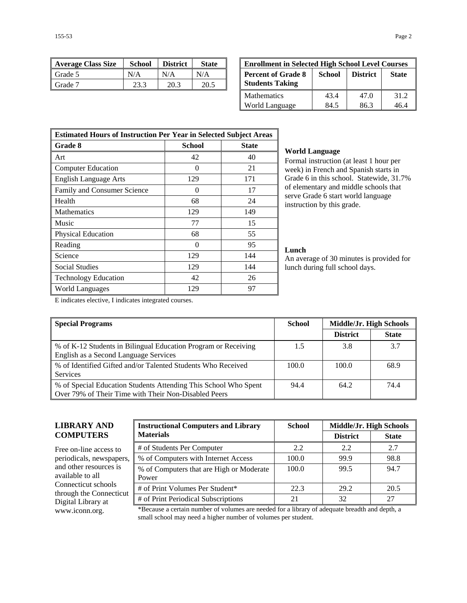| Average Class Size | <b>School</b> | <b>District</b> | <b>State</b> | <b>Enrollment in Selected High School Level Courses</b> |        |                 |              |
|--------------------|---------------|-----------------|--------------|---------------------------------------------------------|--------|-----------------|--------------|
| ll Grade 5         | N/A           | N/A             | N/A          | <b>Percent of Grade 8</b>                               | School | <b>District</b> | <b>State</b> |
| ll Grade 7         | 23.3          | 20.3            | 20.5         | <b>Students Taking</b>                                  |        |                 |              |

| <b>Enrollment in Selected High School Level Courses</b>                                          |      |      |      |  |  |  |  |
|--------------------------------------------------------------------------------------------------|------|------|------|--|--|--|--|
| <b>Percent of Grade 8</b><br>School<br><b>District</b><br><b>State</b><br><b>Students Taking</b> |      |      |      |  |  |  |  |
| Mathematics                                                                                      | 43.4 | 47.0 | 31.2 |  |  |  |  |
| World Language                                                                                   | 84.5 | 86.3 | 16 4 |  |  |  |  |

| <b>Estimated Hours of Instruction Per Year in Selected Subject Areas</b> |                   |              |  |  |  |  |
|--------------------------------------------------------------------------|-------------------|--------------|--|--|--|--|
| <b>Grade 8</b>                                                           | School            | <b>State</b> |  |  |  |  |
| Art                                                                      | 42                | 40           |  |  |  |  |
| <b>Computer Education</b>                                                | $\mathbf{\Omega}$ | 21           |  |  |  |  |
| <b>English Language Arts</b>                                             | 129               | 171          |  |  |  |  |
| Family and Consumer Science                                              | 0                 | 17           |  |  |  |  |
| Health                                                                   | 68                | 24           |  |  |  |  |
| Mathematics                                                              | 129               | 149          |  |  |  |  |
| Music                                                                    | 77                | 15           |  |  |  |  |
| Physical Education                                                       | 68                | 55           |  |  |  |  |
| Reading                                                                  | $\Omega$          | 95           |  |  |  |  |
| Science                                                                  | 129               | 144          |  |  |  |  |
| <b>Social Studies</b>                                                    | 129               | 144          |  |  |  |  |
| <b>Technology Education</b>                                              | 42                | 26           |  |  |  |  |
| World Languages                                                          | 129               | 97           |  |  |  |  |

### **World Language**

Formal instruction (at least 1 hour per week) in French and Spanish starts in Grade 6 in this school. Statewide, 31.7% of elementary and middle schools that serve Grade 6 start world language instruction by this grade.

### **Lunch**

An average of 30 minutes is provided for lunch during full school days.

E indicates elective, I indicates integrated courses.

| <b>Special Programs</b>                                                                                                 | <b>School</b> |                 | Middle/Jr. High Schools |  |
|-------------------------------------------------------------------------------------------------------------------------|---------------|-----------------|-------------------------|--|
|                                                                                                                         |               | <b>District</b> | <b>State</b>            |  |
| % of K-12 Students in Bilingual Education Program or Receiving<br>English as a Second Language Services                 | 1.5           | 3.8             | 3.7                     |  |
| % of Identified Gifted and/or Talented Students Who Received<br><b>Services</b>                                         | 100.0         | 100.0           | 68.9                    |  |
| % of Special Education Students Attending This School Who Spent<br>Over 79% of Their Time with Their Non-Disabled Peers | 94.4          | 64.2            | 74.4                    |  |

### **LIBRARY AND COMPUTERS**

Free on-line access to periodicals, newspapers, and other resources is available to all Connecticut schools through the Connecticut Digital Library at

| <b>Instructional Computers and Library</b>        | <b>School</b> |                 | Middle/Jr. High Schools |  |  |
|---------------------------------------------------|---------------|-----------------|-------------------------|--|--|
| <b>Materials</b>                                  |               | <b>District</b> | <b>State</b>            |  |  |
| # of Students Per Computer                        | 2.2           | 2.2             | 2.7                     |  |  |
| % of Computers with Internet Access               | 100.0         | 99.9            | 98.8                    |  |  |
| % of Computers that are High or Moderate<br>Power | 100.0         | 99.5            | 94.7                    |  |  |
| # of Print Volumes Per Student*                   | 22.3          | 29.2            | 20.5                    |  |  |
| # of Print Periodical Subscriptions               | 21            | 32              | 27                      |  |  |

www.iconn.org. \*Because a certain number of volumes are needed for a library of adequate breadth and depth, a small school may need a higher number of volumes per student.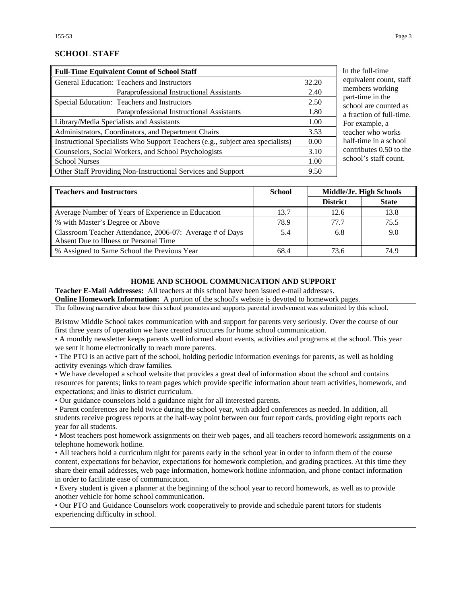### **SCHOOL STAFF**

| <b>Full-Time Equivalent Count of School Staff</b>                               |       |  |  |  |
|---------------------------------------------------------------------------------|-------|--|--|--|
| General Education: Teachers and Instructors                                     | 32.20 |  |  |  |
| Paraprofessional Instructional Assistants                                       | 2.40  |  |  |  |
| Special Education: Teachers and Instructors                                     | 2.50  |  |  |  |
| Paraprofessional Instructional Assistants                                       | 1.80  |  |  |  |
| Library/Media Specialists and Assistants                                        | 1.00  |  |  |  |
| Administrators, Coordinators, and Department Chairs                             | 3.53  |  |  |  |
| Instructional Specialists Who Support Teachers (e.g., subject area specialists) | 0.00  |  |  |  |
| Counselors, Social Workers, and School Psychologists                            | 3.10  |  |  |  |
| <b>School Nurses</b>                                                            | 1.00  |  |  |  |
| Other Staff Providing Non-Instructional Services and Support                    | 9.50  |  |  |  |

he full-time ivalent count, staff mbers working t-time in the ool are counted as action of full-time. example, a cher who works f-time in a school ntributes 0.50 to the ool's staff count.

| <b>Teachers and Instructors</b>                          | <b>School</b> | Middle/Jr. High Schools |              |
|----------------------------------------------------------|---------------|-------------------------|--------------|
|                                                          |               | <b>District</b>         | <b>State</b> |
| Average Number of Years of Experience in Education       | 13.7          | 12.6                    | 13.8         |
| % with Master's Degree or Above                          | 78.9          | 77.7                    | 75.5         |
| Classroom Teacher Attendance, 2006-07: Average # of Days | 5.4           | 6.8                     | 9.0          |
| Absent Due to Illness or Personal Time                   |               |                         |              |
| % Assigned to Same School the Previous Year              | 68.4          | 73.6                    | 74.9         |

#### **HOME AND SCHOOL COMMUNICATION AND SUPPORT**

**Teacher E-Mail Addresses:** All teachers at this school have been issued e-mail addresses.

**Online Homework Information:** A portion of the school's website is devoted to homework pages.

The following narrative about how this school promotes and supports parental involvement was submitted by this school.

Bristow Middle School takes communication with and support for parents very seriously. Over the course of our first three years of operation we have created structures for home school communication.

• A monthly newsletter keeps parents well informed about events, activities and programs at the school. This year we sent it home electronically to reach more parents.

• The PTO is an active part of the school, holding periodic information evenings for parents, as well as holding activity evenings which draw families.

• We have developed a school website that provides a great deal of information about the school and contains resources for parents; links to team pages which provide specific information about team activities, homework, and expectations; and links to district curriculum.

• Our guidance counselors hold a guidance night for all interested parents.

• Parent conferences are held twice during the school year, with added conferences as needed. In addition, all students receive progress reports at the half-way point between our four report cards, providing eight reports each year for all students.

• Most teachers post homework assignments on their web pages, and all teachers record homework assignments on a telephone homework hotline.

• All teachers hold a curriculum night for parents early in the school year in order to inform them of the course content, expectations for behavior, expectations for homework completion, and grading practices. At this time they share their email addresses, web page information, homework hotline information, and phone contact information in order to facilitate ease of communication.

• Every student is given a planner at the beginning of the school year to record homework, as well as to provide another vehicle for home school communication.

• Our PTO and Guidance Counselors work cooperatively to provide and schedule parent tutors for students experiencing difficulty in school.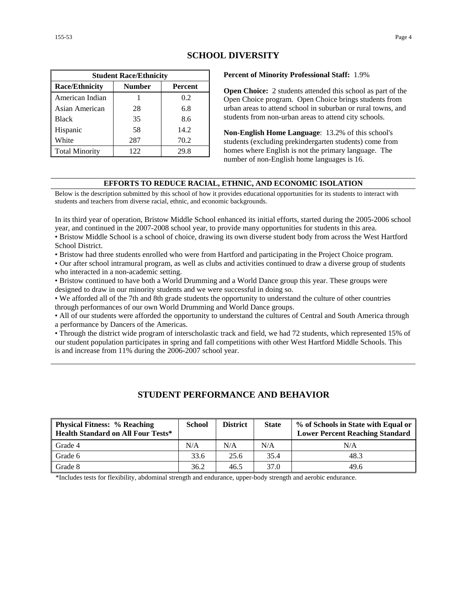| <b>Student Race/Ethnicity</b>                     |     |      |  |  |  |  |  |
|---------------------------------------------------|-----|------|--|--|--|--|--|
| <b>Race/Ethnicity</b><br><b>Number</b><br>Percent |     |      |  |  |  |  |  |
| American Indian                                   |     | 0.2  |  |  |  |  |  |
| Asian American                                    | 28  | 6.8  |  |  |  |  |  |
| <b>Black</b>                                      | 35  | 8.6  |  |  |  |  |  |
| Hispanic                                          | 58  | 14.2 |  |  |  |  |  |
| White                                             | 287 | 70.2 |  |  |  |  |  |
| <b>Total Minority</b>                             | 122 | 29.8 |  |  |  |  |  |

### **SCHOOL DIVERSITY**

**Percent of Minority Professional Staff:** 1.9%

**Open Choice:** 2 students attended this school as part of the Open Choice program. Open Choice brings students from urban areas to attend school in suburban or rural towns, and students from non-urban areas to attend city schools.

**Non-English Home Language**: 13.2% of this school's students (excluding prekindergarten students) come from homes where English is not the primary language. The number of non-English home languages is 16.

### **EFFORTS TO REDUCE RACIAL, ETHNIC, AND ECONOMIC ISOLATION**

Below is the description submitted by this school of how it provides educational opportunities for its students to interact with students and teachers from diverse racial, ethnic, and economic backgrounds.

In its third year of operation, Bristow Middle School enhanced its initial efforts, started during the 2005-2006 school year, and continued in the 2007-2008 school year, to provide many opportunities for students in this area.

• Bristow Middle School is a school of choice, drawing its own diverse student body from across the West Hartford School District.

• Bristow had three students enrolled who were from Hartford and participating in the Project Choice program.

• Our after school intramural program, as well as clubs and activities continued to draw a diverse group of students who interacted in a non-academic setting.

• Bristow continued to have both a World Drumming and a World Dance group this year. These groups were designed to draw in our minority students and we were successful in doing so.

• We afforded all of the 7th and 8th grade students the opportunity to understand the culture of other countries through performances of our own World Drumming and World Dance groups.

• All of our students were afforded the opportunity to understand the cultures of Central and South America through a performance by Dancers of the Americas.

• Through the district wide program of interscholastic track and field, we had 72 students, which represented 15% of our student population participates in spring and fall competitions with other West Hartford Middle Schools. This is and increase from 11% during the 2006-2007 school year.

### **STUDENT PERFORMANCE AND BEHAVIOR**

| <b>Physical Fitness: % Reaching</b><br><b>Health Standard on All Four Tests*</b> | <b>School</b> | <b>District</b> | <b>State</b> | % of Schools in State with Equal or<br><b>Lower Percent Reaching Standard</b> |
|----------------------------------------------------------------------------------|---------------|-----------------|--------------|-------------------------------------------------------------------------------|
| Grade 4                                                                          | N/A           | N/A             | N/A          | N/A                                                                           |
| Grade 6                                                                          | 33.6          | 25.6            | 35.4         | 48.3                                                                          |
| Grade 8                                                                          | 36.2          | 46.5            | 37.0         | 49.6                                                                          |

\*Includes tests for flexibility, abdominal strength and endurance, upper-body strength and aerobic endurance.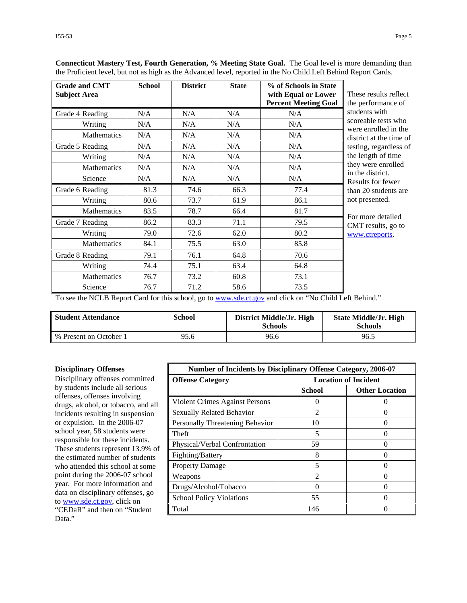| <b>Grade and CMT</b><br><b>Subject Area</b> | <b>School</b> | <b>District</b> | <b>State</b> | % of Schools in State<br>with Equal or Lower | These results reflect                       |
|---------------------------------------------|---------------|-----------------|--------------|----------------------------------------------|---------------------------------------------|
|                                             |               |                 |              | <b>Percent Meeting Goal</b>                  | the performance of                          |
| Grade 4 Reading                             | N/A           | N/A             | N/A          | N/A                                          | students with                               |
| Writing                                     | N/A           | N/A             | N/A          | N/A                                          | scoreable tests who<br>were enrolled in the |
| <b>Mathematics</b>                          | N/A           | N/A             | N/A          | N/A                                          | district at the time of                     |
| Grade 5 Reading                             | N/A           | N/A             | N/A          | N/A                                          | testing, regardless of                      |
| Writing                                     | N/A           | N/A             | N/A          | N/A                                          | the length of time                          |
| <b>Mathematics</b>                          | N/A           | N/A             | N/A          | N/A                                          | they were enrolled<br>in the district.      |
| Science                                     | N/A           | N/A             | N/A          | N/A                                          | Results for fewer<br>than 20 students are   |
| Grade 6 Reading                             | 81.3          | 74.6            | 66.3         | 77.4                                         |                                             |
| Writing                                     | 80.6          | 73.7            | 61.9         | 86.1                                         | not presented.                              |
| <b>Mathematics</b>                          | 83.5          | 78.7            | 66.4         | 81.7                                         |                                             |
| Grade 7 Reading                             | 86.2          | 83.3            | 71.1         | 79.5                                         | For more detailed<br>CMT results, go to     |
| Writing                                     | 79.0          | 72.6            | 62.0         | 80.2                                         | www.ctreports.                              |
| Mathematics                                 | 84.1          | 75.5            | 63.0         | 85.8                                         |                                             |
| Grade 8 Reading                             | 79.1          | 76.1            | 64.8         | 70.6                                         |                                             |
| Writing                                     | 74.4          | 75.1            | 63.4         | 64.8                                         |                                             |
| <b>Mathematics</b>                          | 76.7          | 73.2            | 60.8         | 73.1                                         |                                             |
| Science                                     | 76.7          | 71.2            | 58.6         | 73.5                                         |                                             |

**Connecticut Mastery Test, Fourth Generation, % Meeting State Goal.** The Goal level is more demanding than the Proficient level, but not as high as the Advanced level, reported in the No Child Left Behind Report Cards.

To see the NCLB Report Card for this school, go to [www.sde.ct.gov](http://www.sde.ct.gov/) and click on "No Child Left Behind."

| <b>Student Attendance</b> | School | District Middle/Jr. High<br><b>Schools</b> | <b>State Middle/Jr. High</b><br><b>Schools</b> |
|---------------------------|--------|--------------------------------------------|------------------------------------------------|
| % Present on October 1    | 95.6   | 96.6                                       | 96.5                                           |

#### **Disciplinary Offenses**

Disciplinary offenses committed by students include all serious offenses, offenses involving drugs, alcohol, or tobacco, and all incidents resulting in suspension or expulsion. In the 2006-07 school year, 58 students were responsible for these incidents. These students represent 13.9% of the estimated number of students who attended this school at some point during the 2006-07 school year. For more information and data on disciplinary offenses, go to [www.sde.ct.gov](http://www.sde.ct.gov/), click on "CEDaR" and then on "Student Data."

| <b>Number of Incidents by Disciplinary Offense Category, 2006-07</b> |                                                                                                                                                                      |                       |
|----------------------------------------------------------------------|----------------------------------------------------------------------------------------------------------------------------------------------------------------------|-----------------------|
| <b>Offense Category</b>                                              | <b>Location of Incident</b>                                                                                                                                          |                       |
|                                                                      | School                                                                                                                                                               | <b>Other Location</b> |
| Violent Crimes Against Persons                                       |                                                                                                                                                                      |                       |
| Sexually Related Behavior                                            | $\mathcal{L}$                                                                                                                                                        |                       |
| Personally Threatening Behavior                                      | 10                                                                                                                                                                   |                       |
| Theft                                                                | 5                                                                                                                                                                    |                       |
| Physical/Verbal Confrontation                                        | 59                                                                                                                                                                   |                       |
| Fighting/Battery                                                     | 8                                                                                                                                                                    |                       |
| <b>Property Damage</b>                                               | 5                                                                                                                                                                    | 0                     |
| Weapons                                                              | $\mathcal{D}_{\mathcal{A}}^{\mathcal{A}}(\mathcal{A}) = \mathcal{D}_{\mathcal{A}}^{\mathcal{A}}(\mathcal{A}) = \mathcal{D}_{\mathcal{A}}^{\mathcal{A}}(\mathcal{A})$ | 0                     |
| Drugs/Alcohol/Tobacco                                                |                                                                                                                                                                      | 0                     |
| <b>School Policy Violations</b>                                      | 55                                                                                                                                                                   |                       |
| Total                                                                | 146                                                                                                                                                                  |                       |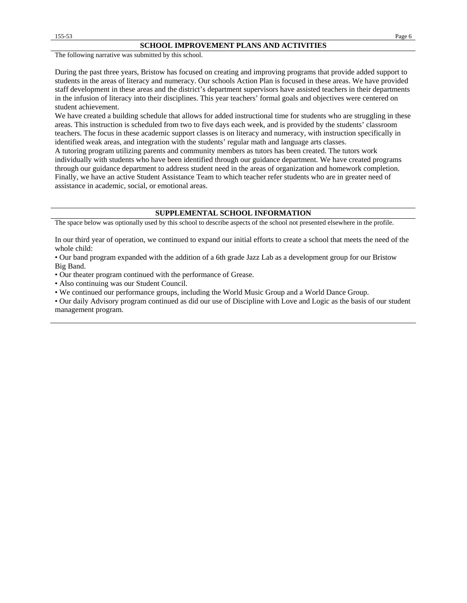#### **SCHOOL IMPROVEMENT PLANS AND ACTIVITIES**

The following narrative was submitted by this school.

During the past three years, Bristow has focused on creating and improving programs that provide added support to students in the areas of literacy and numeracy. Our schools Action Plan is focused in these areas. We have provided staff development in these areas and the district's department supervisors have assisted teachers in their departments in the infusion of literacy into their disciplines. This year teachers' formal goals and objectives were centered on student achievement.

We have created a building schedule that allows for added instructional time for students who are struggling in these areas. This instruction is scheduled from two to five days each week, and is provided by the students' classroom teachers. The focus in these academic support classes is on literacy and numeracy, with instruction specifically in identified weak areas, and integration with the students' regular math and language arts classes.

A tutoring program utilizing parents and community members as tutors has been created. The tutors work individually with students who have been identified through our guidance department. We have created programs through our guidance department to address student need in the areas of organization and homework completion. Finally, we have an active Student Assistance Team to which teacher refer students who are in greater need of assistance in academic, social, or emotional areas.

#### **SUPPLEMENTAL SCHOOL INFORMATION**

The space below was optionally used by this school to describe aspects of the school not presented elsewhere in the profile.

In our third year of operation, we continued to expand our initial efforts to create a school that meets the need of the whole child:

• Our band program expanded with the addition of a 6th grade Jazz Lab as a development group for our Bristow Big Band.

• Our theater program continued with the performance of Grease.

• Also continuing was our Student Council.

• We continued our performance groups, including the World Music Group and a World Dance Group.

• Our daily Advisory program continued as did our use of Discipline with Love and Logic as the basis of our student management program.